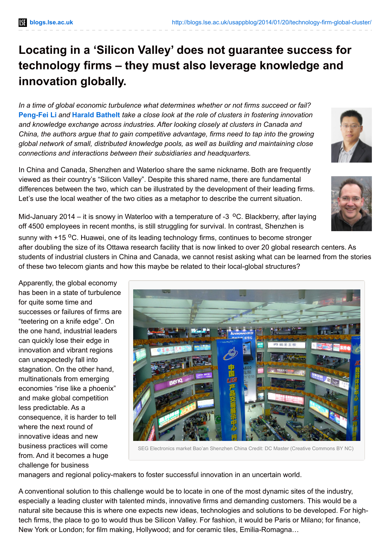## **Locating in a 'Silicon Valley' does not guarantee success for technology firms – they must also leverage knowledge and innovation globally.**

*In a time of global economic turbulence what determines whether or not firms succeed or fail?* **[Peng-Fei](http://wp.me/p3I2YF-11e#Author) Li** *and* **Harald [Bathelt](http://wp.me/p3I2YF-11e#Author)** *take a close look at the role of clusters in fostering innovation and knowledge exchange across industries. After looking closely at clusters in Canada and China, the authors argue that to gain competitive advantage, firms need to tap into the growing global network of small, distributed knowledge pools, as well as building and maintaining close connections and interactions between their subsidiaries and headquarters.*

In China and Canada, Shenzhen and Waterloo share the same nickname. Both are frequently viewed as their country's "Silicon Valley". Despite this shared name, there are fundamental differences between the two, which can be illustrated by the development of their leading firms. Let's use the local weather of the two cities as a metaphor to describe the current situation.

of these two telecom giants and how this maybe be related to their local-global structures?

Mid-January 2014 – it is snowy in Waterloo with a temperature of -3 <sup>o</sup>C. Blackberry, after laying off 4500 employees in recent months, is still struggling for survival. In contrast, Shenzhen is sunny with +15 <sup>o</sup>C. Huawei, one of its leading technology firms, continues to become stronger after doubling the size of its Ottawa research facility that is now linked to over 20 global research centers. As students of industrial clusters in China and Canada, we cannot resist asking what can be learned from the stories

Apparently, the global economy has been in a state of turbulence for quite some time and successes or failures of firms are "teetering on a knife edge". On the one hand, industrial leaders can quickly lose their edge in innovation and vibrant regions can unexpectedly fall into stagnation. On the other hand, multinationals from emerging economies "rise like a phoenix" and make global competition less predictable. As a consequence, it is harder to tell where the next round of innovative ideas and new business practices will come from. And it becomes a huge challenge for business



SEG Electronics market Bao'an Shenzhen China Credit: DC Master (Creative Commons BY NC)

managers and regional policy-makers to foster successful innovation in an uncertain world.

A conventional solution to this challenge would be to locate in one of the most dynamic sites of the industry, especially a leading cluster with talented minds, innovative firms and demanding customers. This would be a natural site because this is where one expects new ideas, technologies and solutions to be developed. For hightech firms, the place to go to would thus be Silicon Valley. For fashion, it would be Paris or Milano; for finance, New York or London; for film making, Hollywood; and for ceramic tiles, Emilia-Romagna…



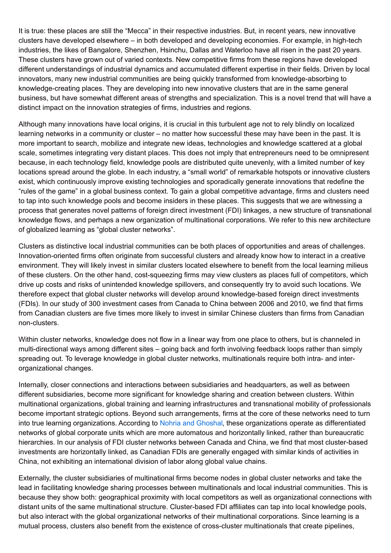It is true: these places are still the "Mecca" in their respective industries. But, in recent years, new innovative clusters have developed elsewhere – in both developed and developing economies. For example, in high-tech industries, the likes of Bangalore, Shenzhen, Hsinchu, Dallas and Waterloo have all risen in the past 20 years. These clusters have grown out of varied contexts. New competitive firms from these regions have developed different understandings of industrial dynamics and accumulated different expertise in their fields. Driven by local innovators, many new industrial communities are being quickly transformed from knowledge-absorbing to knowledge-creating places. They are developing into new innovative clusters that are in the same general business, but have somewhat different areas of strengths and specialization. This is a novel trend that will have a distinct impact on the innovation strategies of firms, industries and regions.

Although many innovations have local origins, it is crucial in this turbulent age not to rely blindly on localized learning networks in a community or cluster – no matter how successful these may have been in the past. It is more important to search, mobilize and integrate new ideas, technologies and knowledge scattered at a global scale, sometimes integrating very distant places. This does not imply that entrepreneurs need to be omnipresent because, in each technology field, knowledge pools are distributed quite unevenly, with a limited number of key locations spread around the globe. In each industry, a "small world" of remarkable hotspots or innovative clusters exist, which continuously improve existing technologies and sporadically generate innovations that redefine the "rules of the game" in a global business context. To gain a global competitive advantage, firms and clusters need to tap into such knowledge pools and become insiders in these places. This suggests that we are witnessing a process that generates novel patterns of foreign direct investment (FDI) linkages, a new structure of transnational knowledge flows, and perhaps a new organization of multinational corporations. We refer to this new architecture of globalized learning as "global cluster networks".

Clusters as distinctive local industrial communities can be both places of opportunities and areas of challenges. Innovation-oriented firms often originate from successful clusters and already know how to interact in a creative environment. They will likely invest in similar clusters located elsewhere to benefit from the local learning milieus of these clusters. On the other hand, cost-squeezing firms may view clusters as places full of competitors, which drive up costs and risks of unintended knowledge spillovers, and consequently try to avoid such locations. We therefore expect that global cluster networks will develop around knowledge-based foreign direct investments (FDIs). In our study of 300 investment cases from Canada to China between 2006 and 2010, we find that firms from Canadian clusters are five times more likely to invest in similar Chinese clusters than firms from Canadian non-clusters.

Within cluster networks, knowledge does not flow in a linear way from one place to others, but is channeled in multi-directional ways among different sites – going back and forth involving feedback loops rather than simply spreading out. To leverage knowledge in global cluster networks, multinationals require both intra- and interorganizational changes.

Internally, closer connections and interactions between subsidiaries and headquarters, as well as between different subsidiaries, become more significant for knowledge sharing and creation between clusters. Within multinational organizations, global training and learning infrastructures and transnational mobility of professionals become important strategic options. Beyond such arrangements, firms at the core of these networks need to turn into true learning organizations. According to Nohria and [Ghoshal](http://gul.gu.se/public/pp/public_courses/course40530/published/1291620354679/resourceId/15964758/content/Nohria  Ghoshal 1994 - Theme 1.pdf), these organizations operate as differentiated networks of global corporate units which are more automatous and horizontally linked, rather than bureaucratic hierarchies. In our analysis of FDI cluster networks between Canada and China, we find that most cluster-based investments are horizontally linked, as Canadian FDIs are generally engaged with similar kinds of activities in China, not exhibiting an international division of labor along global value chains.

Externally, the cluster subsidiaries of multinational firms become nodes in global cluster networks and take the lead in facilitating knowledge sharing processes between multinationals and local industrial communities. This is because they show both: geographical proximity with local competitors as well as organizational connections with distant units of the same multinational structure. Cluster-based FDI affiliates can tap into local knowledge pools, but also interact with the global organizational networks of their multinational corporations. Since learning is a mutual process, clusters also benefit from the existence of cross-cluster multinationals that create pipelines,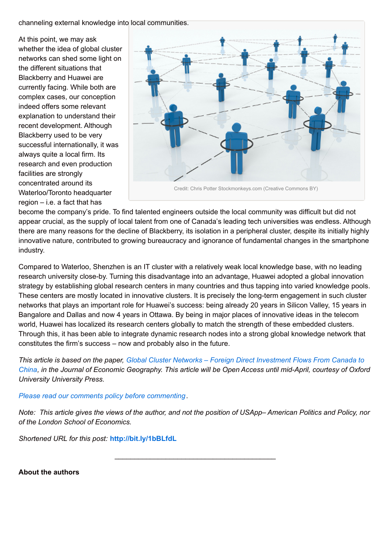channeling external knowledge into local communities.

At this point, we may ask whether the idea of global cluster networks can shed some light on the different situations that Blackberry and Huawei are currently facing. While both are complex cases, our conception indeed offers some relevant explanation to understand their recent development. Although Blackberry used to be very successful internationally, it was always quite a local firm. Its research and even production facilities are strongly concentrated around its Waterloo/Toronto headquarter region – i.e. a fact that has



become the company's pride. To find talented engineers outside the local community was difficult but did not appear crucial, as the supply of local talent from one of Canada's leading tech universities was endless. Although there are many reasons for the decline of Blackberry, its isolation in a peripheral cluster, despite its initially highly innovative nature, contributed to growing bureaucracy and ignorance of fundamental changes in the smartphone industry.

Compared to Waterloo, Shenzhen is an IT cluster with a relatively weak local knowledge base, with no leading research university close-by. Turning this disadvantage into an advantage, Huawei adopted a global innovation strategy by establishing global research centers in many countries and thus tapping into varied knowledge pools. These centers are mostly located in innovative clusters. It is precisely the long-term engagement in such cluster networks that plays an important role for Huawei's success: being already 20 years in Silicon Valley, 15 years in Bangalore and Dallas and now 4 years in Ottawa. By being in major places of innovative ideas in the telecom world, Huawei has localized its research centers globally to match the strength of these embedded clusters. Through this, it has been able to integrate dynamic research nodes into a strong global knowledge network that constitutes the firm's success – now and probably also in the future.

This article is based on the paper, Global Cluster Networks - Foreign Direct Investment Flows From Canada to China, in the Journal of Economic [Geography.](http://joeg.oxfordjournals.org/content/14/1/45) This article will be Open Access until mid-April, courtesy of Oxford *University University Press.*

## *Please read our comments policy before [commenting](http://blogs.lse.ac.uk/usappblog/comments-policy/)*.

Note: This article gives the views of the author, and not the position of USApp-American Politics and Policy, nor *of the London School of Economics.*

\_\_\_\_\_\_\_\_\_\_\_\_\_\_\_\_\_\_\_\_\_\_\_\_\_\_\_\_\_\_\_\_\_\_\_\_\_\_\_\_\_

*Shortened URL for this post:* **<http://bit.ly/1bBLfdL>**

**About the authors**